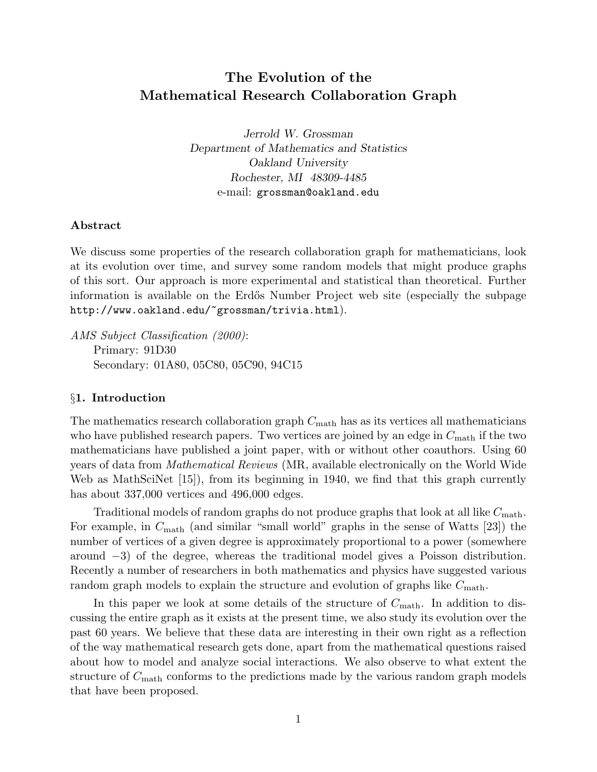# The Evolution of the Mathematical Research Collaboration Graph

Jerrold W. Grossman Department of Mathematics and Statistics Oakland University Rochester, MI 48309-4485 e-mail: grossman@oakland.edu

# Abstract

We discuss some properties of the research collaboration graph for mathematicians, look at its evolution over time, and survey some random models that might produce graphs of this sort. Our approach is more experimental and statistical than theoretical. Further information is available on the Erd˝os Number Project web site (especially the subpage http://www.oakland.edu/~grossman/trivia.html).

AMS Subject Classification (2000): Primary: 91D30 Secondary: 01A80, 05C80, 05C90, 94C15

### §1. Introduction

The mathematics research collaboration graph  $C_{\text{math}}$  has as its vertices all mathematicians who have published research papers. Two vertices are joined by an edge in  $C_{\text{math}}$  if the two mathematicians have published <sup>a</sup> joint paper, with or without other coauthors. Using 60 years of data from Mathematical Reviews (MR, available electronically on the World Wide Web as MathSciNet [15]), from its beginning in 1940, we find that this graph currently has about 337,000 vertices and 496,000 edges.

Traditional models of random graphs do not produce graphs that look at all like  $C_{\text{math}}$ . For example, in  $C_{\text{math}}$  (and similar "small world" graphs in the sense of Watts [23]) the number of vertices of <sup>a</sup> <sup>g</sup>iven degree is approximately proportional to <sup>a</sup> power (somewhere around <sup>−</sup>3) of the degree, whereas the traditional model <sup>g</sup>ives <sup>a</sup> Poisson distribution. Recently <sup>a</sup> number of researchers in both mathematics and <sup>p</sup>hysics have suggested various random graph models to explain the structure and evolution of graphs like  $C_{\text{math}}$ .

In this paper we look at some details of the structure of  $C_{\text{math}}$ . In addition to discussing the entire graph as it exists at the present time, we also study its evolution over the past 60 years. We believe that these data are interesting in their own right as <sup>a</sup> reflection of the way mathematical research gets done, apart from the mathematical questions raised about how to model and analyze social interactions. We also observe to what extent the structure of  $C_{\text{math}}$  conforms to the predictions made by the various random graph models that have been proposed.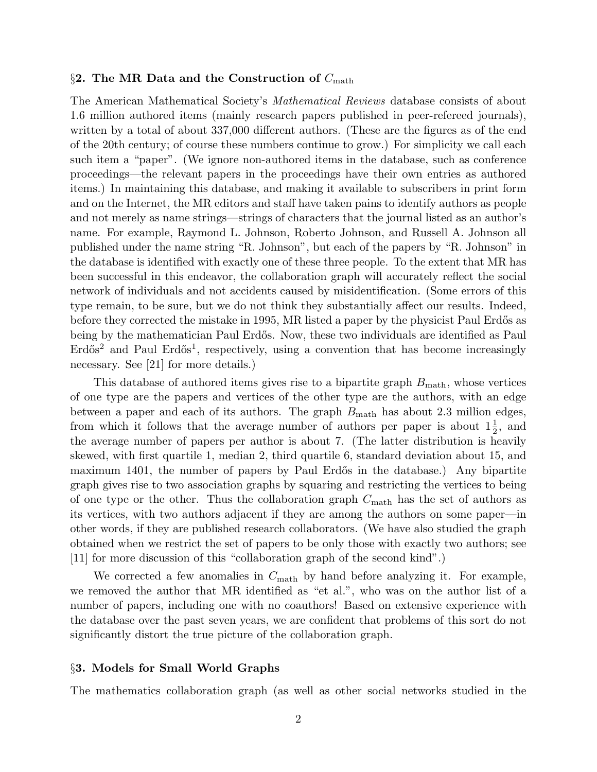### §2. The MR Data and the Construction of  $C_{\text{math}}$

The American Mathematical Society's Mathematical Reviews database consists of about 1.6 million authored items (mainly research papers published in peer-refereed journals), written by <sup>a</sup> total of about 337,000 different authors. (These are the figures as of the end of the 20th century; of course these numbers continue to grow.) For simplicity we call each such item <sup>a</sup> "paper". (We ignore non-authored items in the database, such as conference proceedings—the relevant papers in the proceedings have their own entries as authored items.) In maintaining this database, and making it available to subscribers in print form and on the Internet, the MR editors and staff have taken pains to identify authors as people and not merely as name strings—strings of characters that the journal listed as an author's name. For example, Raymond L. Johnson, Roberto Johnson, and Russell A. Johnson all published under the name string "R. Johnson", but each of the papers by "R. Johnson" in the database is identified with exactly one of these three people. To the extent that MR has been successful in this endeavor, the collaboration graph will accurately reflect the social network of individuals and not accidents caused by misidentification. (Some errors of this type remain, to be sure, but we do not think they substantially affect our results. Indeed, before they corrected the mistake in 1995, MR listed a paper by the physicist Paul Erdős as being by the mathematician Paul Erdős. Now, these two individuals are identified as Paul  $\text{Erdős}^2$  and Paul  $\text{Erdős}^1$ , respectively, using a convention that has become increasingly necessary. See [21] for more details.)

This database of authored items gives rise to a bipartite graph  $B_{\text{math}}$ , whose vertices of one type are the papers and vertices of the other type are the authors, with an edge between a paper and each of its authors. The graph  $B_{\text{math}}$  has about 2.3 million edges, from which it follows that the average number of authors per paper is about  $1\frac{1}{2}$  $1\frac{1}{2}$ , and the average number of papers per author is about 7. (The latter distribution is heavily skewed, with first quartile 1, median 2, third quartile 6, standard deviation about 15, and maximum 1401, the number of papers by Paul Erdős in the database.) Any bipartite graph gives rise to two association graphs by squaring and restricting the vertices to being of one type or the other. Thus the collaboration graph  $C_{\text{math}}$  has the set of authors as its vertices, with two authors adjacent if they are among the authors on some paper—in other words, if they are published research collaborators. (We have also studied the grap<sup>h</sup> obtained when we restrict the set of papers to be only those with exactly two authors; see [11] for more discussion of this "collaboration grap<sup>h</sup> of the second kind".)

We corrected a few anomalies in  $C_{\text{math}}$  by hand before analyzing it. For example, we removed the author that MR identified as "et al.", who was on the author list of <sup>a</sup> number of papers, including one with no coauthors! Based on extensive experience with the database over the past seven years, we are confident that problems of this sort do not significantly distort the true <sup>p</sup>icture of the collaboration graph.

### §3. Models for Small World Graphs

The mathematics collaboration grap<sup>h</sup> (as well as other social networks studied in the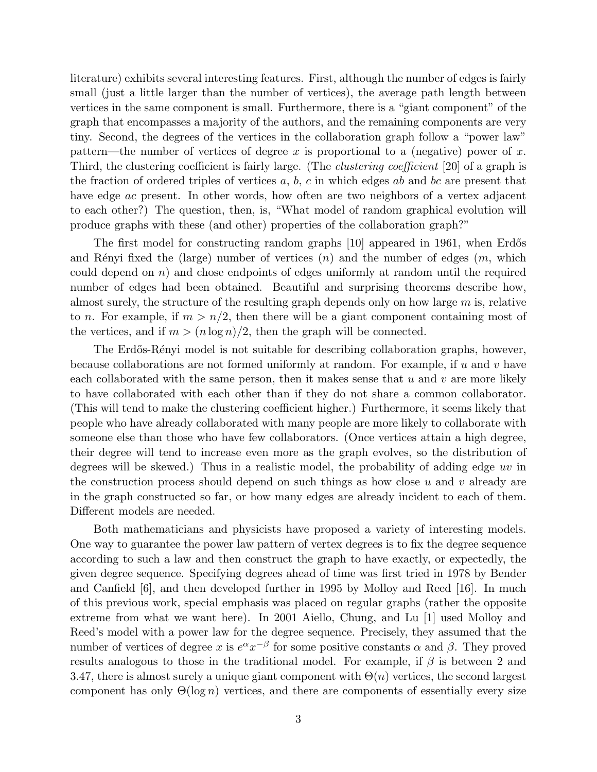literature) exhibits several interesting features. First, although the number of edges is fairly small (just <sup>a</sup> little larger than the number of vertices), the average path length between vertices in the same component is small. Furthermore, there is <sup>a</sup> "giant component" of the graph that encompasses <sup>a</sup> majority of the authors, and the remaining components are very tiny. Second, the degrees of the vertices in the collaboration graph follow <sup>a</sup> "power law" pattern—the number of vertices of degree x is proportional to a (negative) power of x. Third, the clustering coefficient is fairly large. (The clustering coefficient [20] of <sup>a</sup> grap<sup>h</sup> is the fraction of ordered triples of vertices  $a, b, c$  in which edges ab and bc are present that have edge *ac* present. In other words, how often are two neighbors of a vertex adjacent to each other?) The question, then, is, "What model of random graphical evolution will produce graphs with these (and other) properties of the collaboration graph?"

The first model for constructing random graphs [10] appeared in 1961, when Erdős and Rényi fixed the (large) number of vertices  $(n)$  and the number of edges  $(m,$  which could depend on  $n$ ) and chose endpoints of edges uniformly at random until the required number of edges had been obtained. Beautiful and surprising theorems describe how, almost surely, the structure of the resulting graph depends only on how large  $m$  is, relative to n. For example, if  $m > n/2$ , then there will be a giant component containing most of the vertices, and if  $m > (n \log n)/2$ , then the graph will be connected.

The Erdős-Rényi model is not suitable for describing collaboration graphs, however, because collaborations are not formed uniformly at random. For example, if  $u$  and  $v$  have each collaborated with the same person, then it makes sense that  $u$  and  $v$  are more likely to have collaborated with each other than if they do not share <sup>a</sup> common collaborator. (This will tend to make the clustering coefficient higher.) Furthermore, it seems likely that people who have already collaborated with many people are more likely to collaborate with someone else than those who have few collaborators. (Once vertices attain <sup>a</sup> high degree, their degree will tend to increase even more as the graph evolves, so the distribution of degrees will be skewed.) Thus in a realistic model, the probability of adding edge  $uv$  in the construction process should depend on such things as how close  $u$  and  $v$  already are in the graph constructed so far, or how many edges are already incident to each of them. Different models are needed.

Both mathematicians and <sup>p</sup>hysicists have proposed <sup>a</sup> variety of interesting models. One way to guarantee the power law pattern of vertex degrees is to fix the degree sequence according to such <sup>a</sup> law and then construct the graph to have exactly, or expectedly, the given degree sequence. Specifying degrees ahead of time was first tried in 1978 by Bender and Canfield [6], and then developed further in <sup>1995</sup> by Molloy and Reed [16]. In much of this previous work, special emphasis was <sup>p</sup>laced on regular graphs (rather the opposite extreme from what we want here). In <sup>2001</sup> Aiello, Chung, and Lu [1] used Molloy and Reed's model with <sup>a</sup> power law for the degree sequence. Precisely, they assumed that the number of vertices of degree x is  $e^{\alpha}x^{-\beta}$  for some positive constants  $\alpha$  and  $\beta$ . They proved results analogous to those in the traditional model. For example, if  $\beta$  is between 2 and 3.47, there is almost surely a unique giant component with  $\Theta(n)$  vertices, the second largest component has only  $\Theta(\log n)$  vertices, and there are components of essentially every size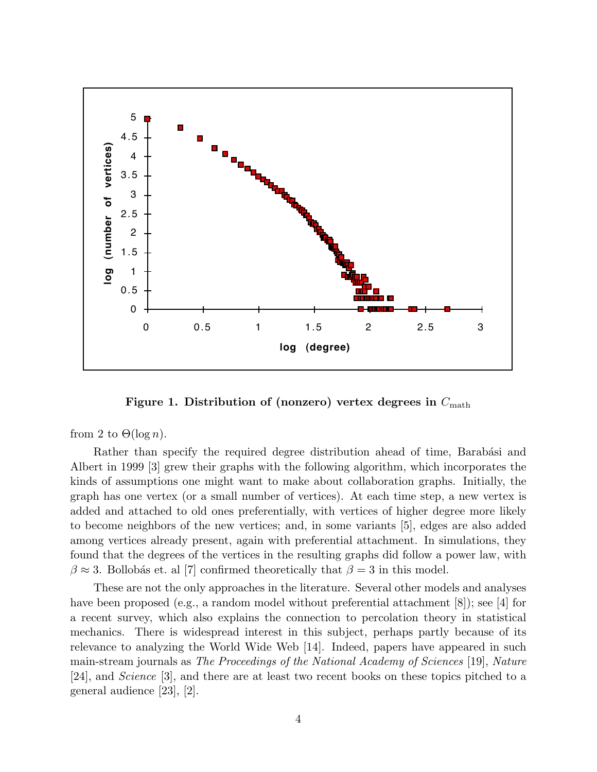

Figure 1. Distribution of (nonzero) vertex degrees in  $C_{\text{math}}$ 

from 2 to  $\Theta(\log n)$ .

Rather than specify the required degree distribution ahead of time, Barabási and Albert in <sup>1999</sup> [3] grew their graphs with the following algorithm, which incorporates the kinds of assumptions one might want to make about collaboration graphs. Initially, the grap<sup>h</sup> has one vertex (or <sup>a</sup> small number of vertices). At each time step, <sup>a</sup> new vertex is added and attached to old ones preferentially, with vertices of higher degree more likely to become neighbors of the new vertices; and, in some variants [5], edges are also added among vertices already present, again with preferential attachment. In simulations, they found that the degrees of the vertices in the resulting graphs did follow <sup>a</sup> power law, with  $\beta \approx 3$ . Bollobás et. al [7] confirmed theoretically that  $\beta = 3$  in this model.

These are not the only approaches in the literature. Several other models and analyses have been proposed (e.g., a random model without preferential attachment [8]); see [4] for <sup>a</sup> recent survey, which also explains the connection to percolation theory in statistical mechanics. There is widespread interest in this subject, perhaps partly because of its relevance to analyzing the World Wide Web [14]. Indeed, papers have appeared in such main-stream journals as The Proceedings of the National Academy of Sciences [19], Nature [24], and Science [3], and there are at least two recent books on these topics <sup>p</sup>itched to <sup>a</sup> genera<sup>l</sup> audience [23], [2].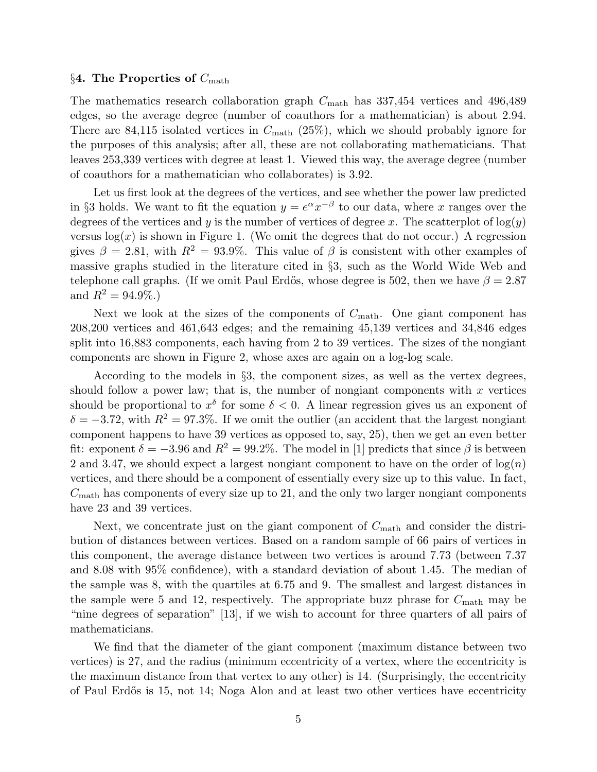#### $\S 4$ . The Properties of  $C_{\text{math}}$

The mathematics research collaboration graph  $C_{\text{math}}$  has 337,454 vertices and 496,489 edges, so the average degree (number of coauthors for <sup>a</sup> mathematician) is about 2.94. There are 84,115 isolated vertices in  $C_{\text{math}}$  (25%), which we should probably ignore for the purposes of this analysis; after all, these are not collaborating mathematicians. That leaves 253,339 vertices with degree at least 1. Viewed this way, the average degree (number of coauthors for <sup>a</sup> mathematician who collaborates) is 3.92.

Let us first look at the degrees of the vertices, and see whether the power law predicted in §3 holds. We want to fit the equation  $y = e^{\alpha} x^{-\beta}$  to our data, where x ranges over the degrees of the vertices and y is the number of vertices of degree x. The scatterplot of  $log(y)$ versus  $log(x)$  is shown in Figure 1. (We omit the degrees that do not occur.) A regression gives  $\beta = 2.81$ , with  $R^2 = 93.9\%$ . This value of  $\beta$  is consistent with other examples of massive graphs studied in the literature cited in §3, such as the World Wide Web and telephone call graphs. (If we omit Paul Erdős, whose degree is 502, then we have  $\beta = 2.87$ and  $R^2 = 94.9\%$ .

Next we look at the sizes of the components of  $C_{\text{math}}$ . One giant component has 208,200 vertices and 461,643 edges; and the remaining 45,139 vertices and 34,846 edges split into 16,883 components, each having from 2 to 39 vertices. The sizes of the nongiant components are shown in Figure 2, whose axes are again on <sup>a</sup> log-log scale.

According to the models in  $\S3$ , the component sizes, as well as the vertex degrees, should follow a power law; that is, the number of nongiant components with  $x$  vertices should be proportional to  $x^{\delta}$  for some  $\delta < 0$ . A linear regression gives us an exponent of  $\delta = -3.72$ , with  $R^2 = 97.3\%$ . If we omit the outlier (an accident that the largest nongiant component happens to have <sup>39</sup> vertices as opposed to, say, 25), then we get an even better fit: exponent  $\delta = -3.96$  and  $R^2 = 99.2\%$ . The model in [1] predicts that since  $\beta$  is between 2 and 3.47, we should expect a largest nongiant component to have on the order of  $log(n)$ vertices, and there should be <sup>a</sup> component of essentially every size up to this value. In fact,  $C_{\text{math}}$  has components of every size up to 21, and the only two larger nongiant components have 23 and 39 vertices.

Next, we concentrate just on the giant component of  $C_{\text{math}}$  and consider the distribution of distances between vertices. Based on <sup>a</sup> random sample of 66 pairs of vertices in this component, the average distance between two vertices is around 7.73 (between 7.37 and 8.08 with 95% confidence), with <sup>a</sup> standard deviation of about 1.45. The median of the sample was 8, with the quartiles at 6.75 and 9. The smallest and largest distances in the sample were 5 and 12, respectively. The appropriate buzz phrase for  $C_{\text{math}}$  may be "nine degrees of separation" [13], if we wish to account for three quarters of all pairs of mathematicians.

We find that the diameter of the <sup>g</sup>iant component (maximum distance between two vertices) is 27, and the radius (minimum eccentricity of <sup>a</sup> vertex, where the eccentricity is the maximum distance from that vertex to any other) is 14. (Surprisingly, the eccentricity of Paul Erdős is 15, not 14; Noga Alon and at least two other vertices have eccentricity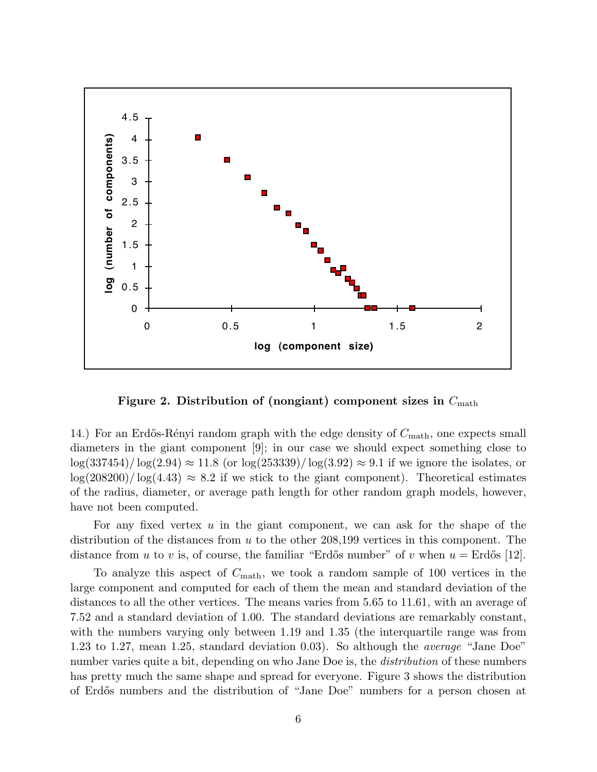

Figure 2. Distribution of (nongiant) component sizes in  $C_{\text{math}}$ 

14.) For an Erdős-Rényi random graph with the edge density of  $C_{\text{math}}$ , one expects small diameters in the <sup>g</sup>iant component [9]; in our case we should expect something close to  $\log(337454)/\log(2.94) \approx 11.8$  (or  $\log(253339)/\log(3.92) \approx 9.1$  if we ignore the isolates, or  $\log(208200)/\log(4.43) \approx 8.2$  if we stick to the giant component). Theoretical estimates of the radius, diameter, or average path length for other random graph models, however, have not been computed.

For any fixed vertex <sup>u</sup> in the giant component, we can ask for the shape of the distribution of the distances from  $u$  to the other 208,199 vertices in this component. The distance from u to v is, of course, the familiar "Erdős number" of v when  $u = \text{Erdős}$  [12].

To analyze this aspect of  $C_{\text{math}}$ , we took a random sample of 100 vertices in the large component and computed for each of them the mean and standard deviation of the distances to all the other vertices. The means varies from 5.65 to 11.61, with an average of 7.52 and <sup>a</sup> standard deviation of 1.00. The standard deviations are remarkably constant, with the numbers varying only between 1.19 and 1.35 (the interquartile range was from 1.23 to 1.27, mean 1.25, standard deviation 0.03). So although the average "Jane Doe" number varies quite a bit, depending on who Jane Doe is, the *distribution* of these numbers has pretty much the same shape and spread for everyone. Figure 3 shows the distribution of Erd˝os numbers and the distribution of "Jane Doe" numbers for <sup>a</sup> person chosen at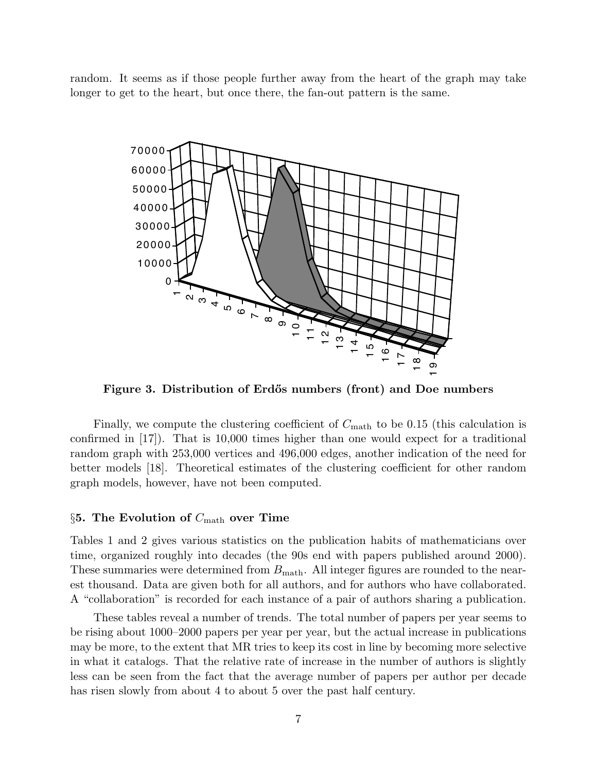random. It seems as if those people further away from the heart of the graph may take longer to get to the heart, but once there, the fan-out pattern is the same.



Figure 3. Distribution of Erdős numbers (front) and Doe numbers

Finally, we compute the clustering coefficient of  $C_{\text{math}}$  to be 0.15 (this calculation is confirmed in [17]). That is 10,000 times higher than one would expect for <sup>a</sup> traditional random graph with 253,000 vertices and 496,000 edges, another indication of the need for better models [18]. Theoretical estimates of the clustering coefficient for other random graph models, however, have not been computed.

# §5. The Evolution of  $C_{\text{math}}$  over Time

Tables 1 and 2 gives various statistics on the publication habits of mathematicians over time, organized roughly into decades (the 90s end with papers published around 2000). These summaries were determined from  $B_{\text{math}}$ . All integer figures are rounded to the nearest thousand. Data are given both for all authors, and for authors who have collaborated. A "collaboration" is recorded for each instance of <sup>a</sup> pair of authors sharing <sup>a</sup> publication.

These tables reveal <sup>a</sup> number of trends. The total number of papers per year seems to be rising about 1000–2000 papers per year per year, but the actual increase in publications may be more, to the extent that MR tries to keep its cost in line by becoming more selective in what it catalogs. That the relative rate of increase in the number of authors is slightly less can be seen from the fact that the average number of papers per author per decade has risen slowly from about 4 to about 5 over the past half century.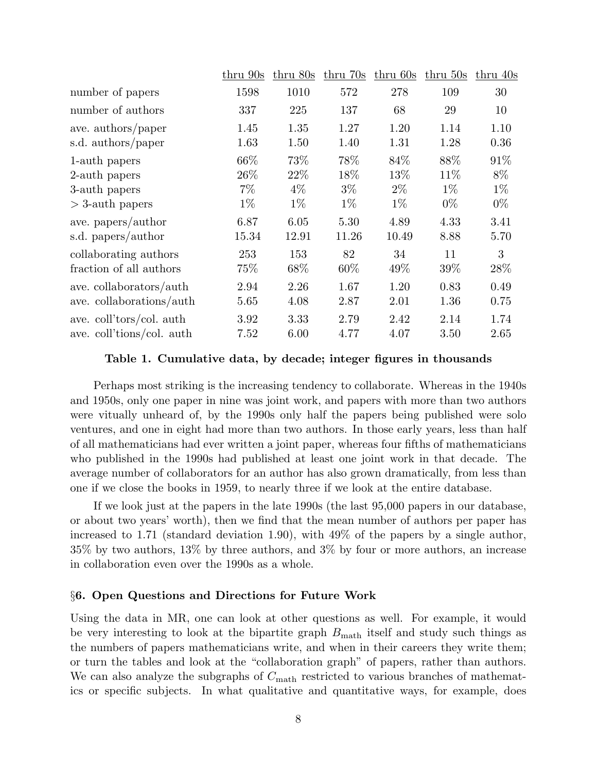|                           | thru 90s | thru 80s | thru 70s | thru 60s | $thru$ 50s | thru 40s |
|---------------------------|----------|----------|----------|----------|------------|----------|
| number of papers          | 1598     | 1010     | 572      | 278      | 109        | 30       |
| number of authors         | 337      | 225      | 137      | 68       | 29         | 10       |
| ave. authors/paper        | 1.45     | 1.35     | 1.27     | 1.20     | 1.14       | 1.10     |
| s.d. authors/paper        | 1.63     | 1.50     | 1.40     | 1.31     | 1.28       | 0.36     |
| 1-auth papers             | 66%      | 73%      | 78%      | 84%      | 88%        | 91%      |
| 2-auth papers             | 26\%     | 22%      | 18%      | 13%      | 11\%       | 8%       |
| 3-auth papers             | $7\%$    | $4\%$    | $3\%$    | $2\%$    | $1\%$      | $1\%$    |
| $>$ 3-auth papers         | $1\%$    | $1\%$    | $1\%$    | $1\%$    | $0\%$      | $0\%$    |
| ave. papers/author        | 6.87     | 6.05     | 5.30     | 4.89     | 4.33       | 3.41     |
| s.d. papers/author        | 15.34    | 12.91    | 11.26    | 10.49    | 8.88       | 5.70     |
| collaborating authors     | 253      | 153      | 82       | 34       | 11         | 3        |
| fraction of all authors   | 75\%     | 68\%     | $60\%$   | 49\%     | 39%        | 28\%     |
| ave. collaborators/auth   | 2.94     | 2.26     | 1.67     | 1.20     | 0.83       | 0.49     |
| ave. collaborations/auth  | 5.65     | 4.08     | 2.87     | 2.01     | 1.36       | 0.75     |
| ave. coll'tors/col. auth  | 3.92     | 3.33     | 2.79     | 2.42     | 2.14       | 1.74     |
| ave. coll'tions/col. auth | 7.52     | 6.00     | 4.77     | 4.07     | 3.50       | 2.65     |
|                           |          |          |          |          |            |          |

# Table 1. Cumulative data, by decade; integer figures in thousands

Perhaps most striking is the increasing tendency to collaborate. Whereas in the 1940s and 1950s, only one paper in nine was joint work, and papers with more than two authors were vitually unheard of, by the 1990s only half the papers being published were solo ventures, and one in eight had more than two authors. In those early years, less than half of all mathematicians had ever written <sup>a</sup> joint paper, whereas four fifths of mathematicians who published in the 1990s had published at least one joint work in that decade. The average number of collaborators for an author has also grown dramatically, from less than one if we close the books in 1959, to nearly three if we look at the entire database.

If we look just at the papers in the late 1990s (the last 95,000 papers in our database, or about two years' worth), then we find that the mean number of authors per paper has increased to 1.71 (standard deviation 1.90), with 49% of the papers by <sup>a</sup> single author, 35% by two authors, 13% by three authors, and 3% by four or more authors, an increase in collaboration even over the 1990s as <sup>a</sup> whole.

### §6. Open Questions and Directions for Future Work

Using the data in MR, one can look at other questions as well. For example, it would be very interesting to look at the bipartite graph  $B_{\text{math}}$  itself and study such things as the numbers of papers mathematicians write, and when in their careers they write them; or turn the tables and look at the "collaboration graph" of papers, rather than authors. We can also analyze the subgraphs of  $C_{\text{math}}$  restricted to various branches of mathematics or specific subjects. In what qualitative and quantitative ways, for example, does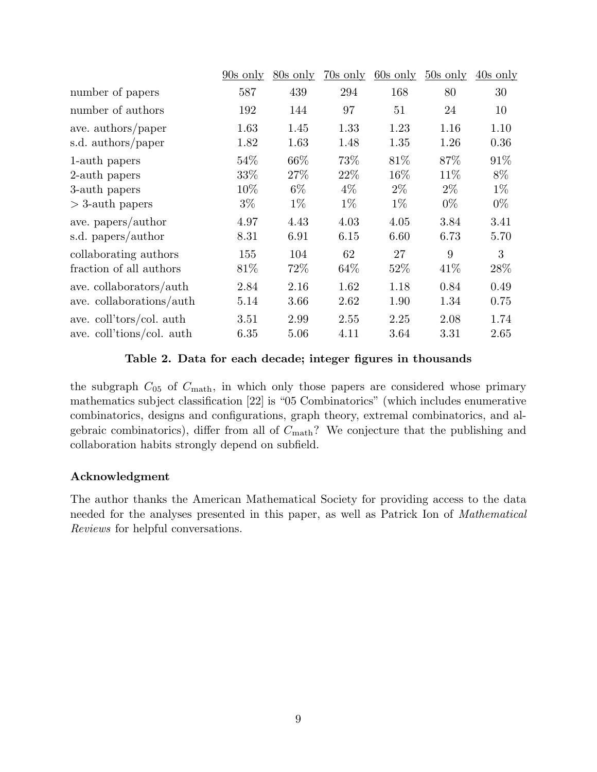|                                                               | $90s$ only                    | $80s$ only            | $70s$ only            | $60s$ only            | $50s$ only            | $\frac{40s}{\text{ only}}$ |
|---------------------------------------------------------------|-------------------------------|-----------------------|-----------------------|-----------------------|-----------------------|----------------------------|
| number of papers                                              | 587                           | 439                   | 294                   | 168                   | 80                    | 30                         |
| number of authors                                             | 192                           | 144                   | 97                    | 51                    | 24                    | 10                         |
| ave. authors/paper<br>s.d. authors/paper                      | 1.63<br>1.82                  | 1.45<br>1.63          | 1.33<br>1.48          | 1.23<br>1.35          | 1.16<br>1.26          | 1.10<br>0.36               |
| 1-auth papers<br>2-auth papers<br>3-auth papers               | 54%<br>33%<br>$10\%$<br>$3\%$ | 66\%<br>27%<br>$6\%$  | 73%<br>22\%<br>$4\%$  | 81\%<br>16%<br>$2\%$  | 87%<br>11\%<br>$2\%$  | 91%<br>$8\%$<br>$1\%$      |
| $>$ 3-auth papers<br>ave. papers/author<br>s.d. papers/author | 4.97<br>8.31                  | $1\%$<br>4.43<br>6.91 | $1\%$<br>4.03<br>6.15 | $1\%$<br>4.05<br>6.60 | $0\%$<br>3.84<br>6.73 | $0\%$<br>3.41<br>5.70      |
| collaborating authors<br>fraction of all authors              | 155<br>81\%                   | 104<br>72\%           | 62<br>64\%            | 27<br>$52\%$          | 9<br>41\%             | 3<br>28\%                  |
| ave. collaborators/auth<br>ave. collaborations/auth           | 2.84<br>5.14                  | 2.16<br>3.66          | 1.62<br>2.62          | 1.18<br>1.90          | 0.84<br>1.34          | 0.49<br>0.75               |
| ave. coll'tors/col. auth<br>ave. coll'tions/col. auth         | 3.51<br>6.35                  | 2.99<br>5.06          | 2.55<br>4.11          | 2.25<br>3.64          | 2.08<br>3.31          | 1.74<br>2.65               |
|                                                               |                               |                       |                       |                       |                       |                            |

# Table 2. Data for each decade; integer figures in thousands

the subgraph  $C_{05}$  of  $C_{\text{math}}$ , in which only those papers are considered whose primary mathematics subject classification [22] is "05 Combinatorics" (which includes enumerative combinatorics, designs and configurations, graph theory, extremal combinatorics, and algebraic combinatorics), differ from all of  $C_{\text{math}}$ ? We conjecture that the publishing and collaboration habits strongly depend on subfield.

# Acknowledgment

The author thanks the American Mathematical Society for providing access to the data needed for the analyses presented in this paper, as well as Patrick Ion of Mathematical Reviews for helpful conversations.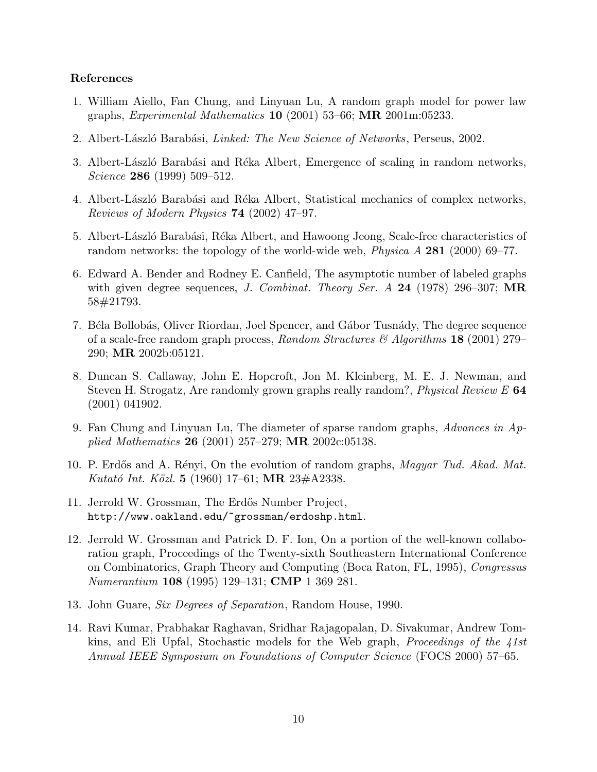# References

- 1. William Aiello, Fan Chung, and Linyuan Lu, A random graph model for power law graphs, *Experimental Mathematics* **10** (2001) 53–66; **MR** 2001m:05233.
- 2. Albert-László Barabási, Linked: The New Science of Networks, Perseus, 2002.
- 3. Albert-László Barabási and Réka Albert, Emergence of scaling in random networks, Science **286** (1999) 509-512.
- 4. Albert-László Barabási and Réka Albert, Statistical mechanics of complex networks, Reviews of Modern Physics <sup>74</sup> (2002) 47–97.
- 5. Albert-László Barabási, Réka Albert, and Hawoong Jeong, Scale-free characteristics of random networks: the topology of the world-wide web, *Physica A* 281 (2000) 69–77.
- 6. Edward A. Bender and Rodney E. Canfield, The asymptotic number of labeled graphs with given degree sequences, J. Combinat. Theory Ser. A 24 (1978) 296–307; MR 58#21793.
- 7. Béla Bollobás, Oliver Riordan, Joel Spencer, and Gábor Tusnády, The degree sequence of a scale-free random graph process, Random Structures  $\mathscr{B}$  Algorithms 18 (2001) 279– 290; MR 2002b:05121.
- 8. Duncan S. Callaway, John E. Hopcroft, Jon M. Kleinberg, M. E. J. Newman, and Steven H. Strogatz, Are randomly grown graphs really random?, *Physical Review E* 64 (2001) 041902.
- 9. Fan Chung and Linyuan Lu, The diameter of sparse random graphs, Advances in Applied Mathematics <sup>26</sup> (2001) 257–279; MR 2002c:05138.
- 10. P. Erdős and A. Rényi, On the evolution of random graphs, *Magyar Tud. Akad. Mat.* Kutató Int. Közl. 5 (1960) 17–61; MR 23#A2338.
- 11. Jerrold W. Grossman, The Erdős Number Project, http://www.oakland.edu/~grossman/erdoshp.html.
- 12. Jerrold W. Grossman and Patrick D. F. Ion, On <sup>a</sup> portion of the well-known collaboration graph, Proceedings of the Twenty-sixth Southeastern International Conference on Combinatorics, Graph Theory and Computing (Boca Raton, FL, 1995), Congressus Numerantium <sup>108</sup> (1995) 129–131; CMP <sup>1</sup> <sup>369</sup> 281.
- 13. John Guare, Six Degrees of Separation, Random House, 1990.
- 14. Ravi Kumar, Prabhakar Raghavan, Sridhar Rajagopalan, D. Sivakumar, Andrew Tomkins, and Eli Upfal, Stochastic models for the Web graph, *Proceedings of the*  $41st$ Annual IEEE Symposium on Foundations of Computer Science (FOCS 2000) 57–65.